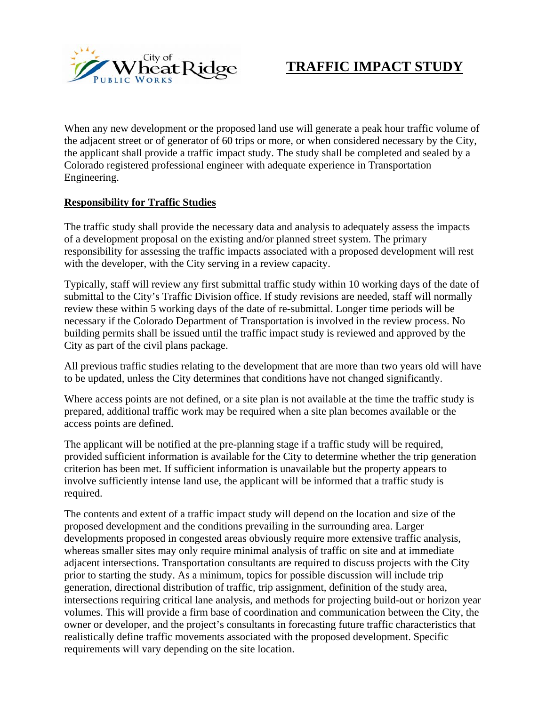

## **TRAFFIC IMPACT STUDY**

When any new development or the proposed land use will generate a peak hour traffic volume of the adjacent street or of generator of 60 trips or more, or when considered necessary by the City, the applicant shall provide a traffic impact study. The study shall be completed and sealed by a Colorado registered professional engineer with adequate experience in Transportation Engineering.

#### **Responsibility for Traffic Studies**

The traffic study shall provide the necessary data and analysis to adequately assess the impacts of a development proposal on the existing and/or planned street system. The primary responsibility for assessing the traffic impacts associated with a proposed development will rest with the developer, with the City serving in a review capacity.

Typically, staff will review any first submittal traffic study within 10 working days of the date of submittal to the City's Traffic Division office. If study revisions are needed, staff will normally review these within 5 working days of the date of re-submittal. Longer time periods will be necessary if the Colorado Department of Transportation is involved in the review process. No building permits shall be issued until the traffic impact study is reviewed and approved by the City as part of the civil plans package.

All previous traffic studies relating to the development that are more than two years old will have to be updated, unless the City determines that conditions have not changed significantly.

Where access points are not defined, or a site plan is not available at the time the traffic study is prepared, additional traffic work may be required when a site plan becomes available or the access points are defined.

The applicant will be notified at the pre-planning stage if a traffic study will be required, provided sufficient information is available for the City to determine whether the trip generation criterion has been met. If sufficient information is unavailable but the property appears to involve sufficiently intense land use, the applicant will be informed that a traffic study is required.

The contents and extent of a traffic impact study will depend on the location and size of the proposed development and the conditions prevailing in the surrounding area. Larger developments proposed in congested areas obviously require more extensive traffic analysis, whereas smaller sites may only require minimal analysis of traffic on site and at immediate adjacent intersections. Transportation consultants are required to discuss projects with the City prior to starting the study. As a minimum, topics for possible discussion will include trip generation, directional distribution of traffic, trip assignment, definition of the study area, intersections requiring critical lane analysis, and methods for projecting build-out or horizon year volumes. This will provide a firm base of coordination and communication between the City, the owner or developer, and the project's consultants in forecasting future traffic characteristics that realistically define traffic movements associated with the proposed development. Specific requirements will vary depending on the site location.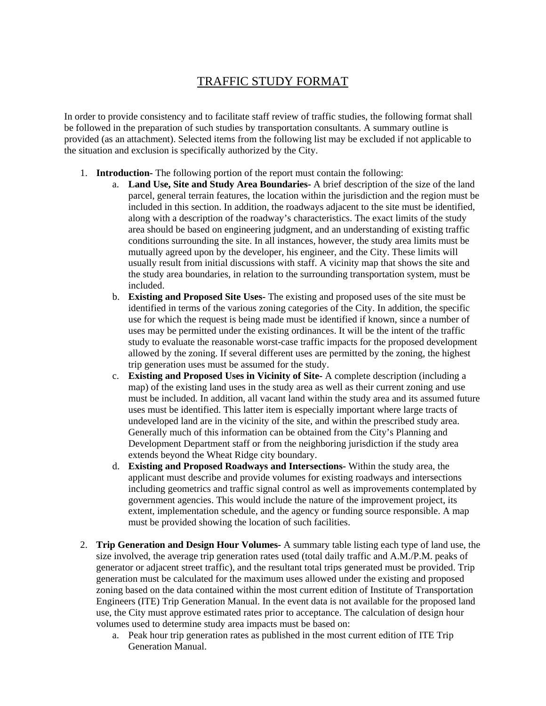### TRAFFIC STUDY FORMAT

In order to provide consistency and to facilitate staff review of traffic studies, the following format shall be followed in the preparation of such studies by transportation consultants. A summary outline is provided (as an attachment). Selected items from the following list may be excluded if not applicable to the situation and exclusion is specifically authorized by the City.

- 1. **Introduction-** The following portion of the report must contain the following:
	- a. **Land Use, Site and Study Area Boundaries-** A brief description of the size of the land parcel, general terrain features, the location within the jurisdiction and the region must be included in this section. In addition, the roadways adjacent to the site must be identified, along with a description of the roadway's characteristics. The exact limits of the study area should be based on engineering judgment, and an understanding of existing traffic conditions surrounding the site. In all instances, however, the study area limits must be mutually agreed upon by the developer, his engineer, and the City. These limits will usually result from initial discussions with staff. A vicinity map that shows the site and the study area boundaries, in relation to the surrounding transportation system, must be included.
	- b. **Existing and Proposed Site Uses-** The existing and proposed uses of the site must be identified in terms of the various zoning categories of the City. In addition, the specific use for which the request is being made must be identified if known, since a number of uses may be permitted under the existing ordinances. It will be the intent of the traffic study to evaluate the reasonable worst-case traffic impacts for the proposed development allowed by the zoning. If several different uses are permitted by the zoning, the highest trip generation uses must be assumed for the study.
	- c. **Existing and Proposed Uses in Vicinity of Site-** A complete description (including a map) of the existing land uses in the study area as well as their current zoning and use must be included. In addition, all vacant land within the study area and its assumed future uses must be identified. This latter item is especially important where large tracts of undeveloped land are in the vicinity of the site, and within the prescribed study area. Generally much of this information can be obtained from the City's Planning and Development Department staff or from the neighboring jurisdiction if the study area extends beyond the Wheat Ridge city boundary.
	- d. **Existing and Proposed Roadways and Intersections-** Within the study area, the applicant must describe and provide volumes for existing roadways and intersections including geometrics and traffic signal control as well as improvements contemplated by government agencies. This would include the nature of the improvement project, its extent, implementation schedule, and the agency or funding source responsible. A map must be provided showing the location of such facilities.
- 2. **Trip Generation and Design Hour Volumes-** A summary table listing each type of land use, the size involved, the average trip generation rates used (total daily traffic and A.M./P.M. peaks of generator or adjacent street traffic), and the resultant total trips generated must be provided. Trip generation must be calculated for the maximum uses allowed under the existing and proposed zoning based on the data contained within the most current edition of Institute of Transportation Engineers (ITE) Trip Generation Manual. In the event data is not available for the proposed land use, the City must approve estimated rates prior to acceptance. The calculation of design hour volumes used to determine study area impacts must be based on:
	- a. Peak hour trip generation rates as published in the most current edition of ITE Trip Generation Manual.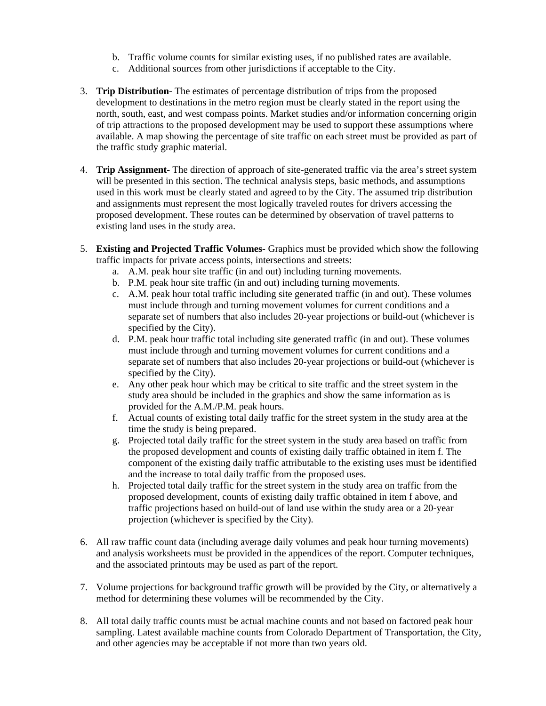- b. Traffic volume counts for similar existing uses, if no published rates are available.
- c. Additional sources from other jurisdictions if acceptable to the City.
- 3. **Trip Distribution-** The estimates of percentage distribution of trips from the proposed development to destinations in the metro region must be clearly stated in the report using the north, south, east, and west compass points. Market studies and/or information concerning origin of trip attractions to the proposed development may be used to support these assumptions where available. A map showing the percentage of site traffic on each street must be provided as part of the traffic study graphic material.
- 4. **Trip Assignment-** The direction of approach of site-generated traffic via the area's street system will be presented in this section. The technical analysis steps, basic methods, and assumptions used in this work must be clearly stated and agreed to by the City. The assumed trip distribution and assignments must represent the most logically traveled routes for drivers accessing the proposed development. These routes can be determined by observation of travel patterns to existing land uses in the study area.
- 5. **Existing and Projected Traffic Volumes-** Graphics must be provided which show the following traffic impacts for private access points, intersections and streets:
	- a. A.M. peak hour site traffic (in and out) including turning movements.
	- b. P.M. peak hour site traffic (in and out) including turning movements.
	- c. A.M. peak hour total traffic including site generated traffic (in and out). These volumes must include through and turning movement volumes for current conditions and a separate set of numbers that also includes 20-year projections or build-out (whichever is specified by the City).
	- d. P.M. peak hour traffic total including site generated traffic (in and out). These volumes must include through and turning movement volumes for current conditions and a separate set of numbers that also includes 20-year projections or build-out (whichever is specified by the City).
	- e. Any other peak hour which may be critical to site traffic and the street system in the study area should be included in the graphics and show the same information as is provided for the A.M./P.M. peak hours.
	- f. Actual counts of existing total daily traffic for the street system in the study area at the time the study is being prepared.
	- g. Projected total daily traffic for the street system in the study area based on traffic from the proposed development and counts of existing daily traffic obtained in item f. The component of the existing daily traffic attributable to the existing uses must be identified and the increase to total daily traffic from the proposed uses.
	- h. Projected total daily traffic for the street system in the study area on traffic from the proposed development, counts of existing daily traffic obtained in item f above, and traffic projections based on build-out of land use within the study area or a 20-year projection (whichever is specified by the City).
- 6. All raw traffic count data (including average daily volumes and peak hour turning movements) and analysis worksheets must be provided in the appendices of the report. Computer techniques, and the associated printouts may be used as part of the report.
- 7. Volume projections for background traffic growth will be provided by the City, or alternatively a method for determining these volumes will be recommended by the City.
- 8. All total daily traffic counts must be actual machine counts and not based on factored peak hour sampling. Latest available machine counts from Colorado Department of Transportation, the City, and other agencies may be acceptable if not more than two years old.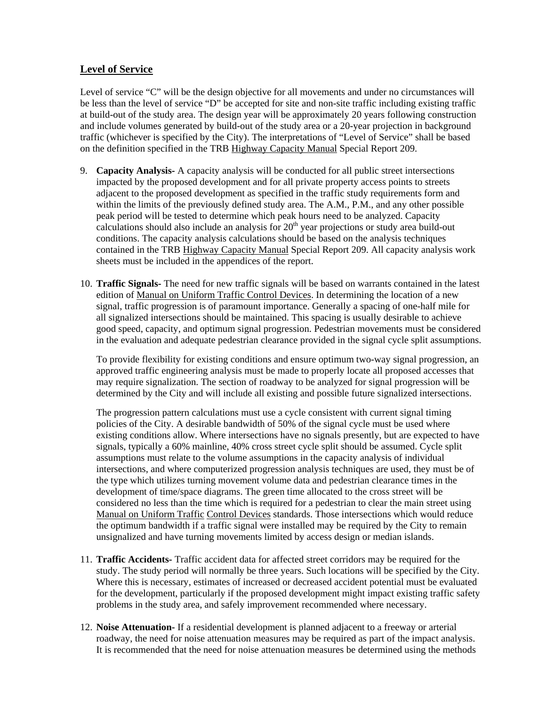#### **Level of Service**

Level of service "C" will be the design objective for all movements and under no circumstances will be less than the level of service "D" be accepted for site and non-site traffic including existing traffic at build-out of the study area. The design year will be approximately 20 years following construction and include volumes generated by build-out of the study area or a 20-year projection in background traffic (whichever is specified by the City). The interpretations of "Level of Service" shall be based on the definition specified in the TRB Highway Capacity Manual Special Report 209.

- 9. **Capacity Analysis-** A capacity analysis will be conducted for all public street intersections impacted by the proposed development and for all private property access points to streets adjacent to the proposed development as specified in the traffic study requirements form and within the limits of the previously defined study area. The A.M., P.M., and any other possible peak period will be tested to determine which peak hours need to be analyzed. Capacity calculations should also include an analysis for  $20<sup>th</sup>$  year projections or study area build-out conditions. The capacity analysis calculations should be based on the analysis techniques contained in the TRB Highway Capacity Manual Special Report 209. All capacity analysis work sheets must be included in the appendices of the report.
- 10. **Traffic Signals-** The need for new traffic signals will be based on warrants contained in the latest edition of Manual on Uniform Traffic Control Devices. In determining the location of a new signal, traffic progression is of paramount importance. Generally a spacing of one-half mile for all signalized intersections should be maintained. This spacing is usually desirable to achieve good speed, capacity, and optimum signal progression. Pedestrian movements must be considered in the evaluation and adequate pedestrian clearance provided in the signal cycle split assumptions.

To provide flexibility for existing conditions and ensure optimum two-way signal progression, an approved traffic engineering analysis must be made to properly locate all proposed accesses that may require signalization. The section of roadway to be analyzed for signal progression will be determined by the City and will include all existing and possible future signalized intersections.

The progression pattern calculations must use a cycle consistent with current signal timing policies of the City. A desirable bandwidth of 50% of the signal cycle must be used where existing conditions allow. Where intersections have no signals presently, but are expected to have signals, typically a 60% mainline, 40% cross street cycle split should be assumed. Cycle split assumptions must relate to the volume assumptions in the capacity analysis of individual intersections, and where computerized progression analysis techniques are used, they must be of the type which utilizes turning movement volume data and pedestrian clearance times in the development of time/space diagrams. The green time allocated to the cross street will be considered no less than the time which is required for a pedestrian to clear the main street using Manual on Uniform Traffic Control Devices standards. Those intersections which would reduce the optimum bandwidth if a traffic signal were installed may be required by the City to remain unsignalized and have turning movements limited by access design or median islands.

- 11. **Traffic Accidents-** Traffic accident data for affected street corridors may be required for the study. The study period will normally be three years. Such locations will be specified by the City. Where this is necessary, estimates of increased or decreased accident potential must be evaluated for the development, particularly if the proposed development might impact existing traffic safety problems in the study area, and safely improvement recommended where necessary.
- 12. **Noise Attenuation-** If a residential development is planned adjacent to a freeway or arterial roadway, the need for noise attenuation measures may be required as part of the impact analysis. It is recommended that the need for noise attenuation measures be determined using the methods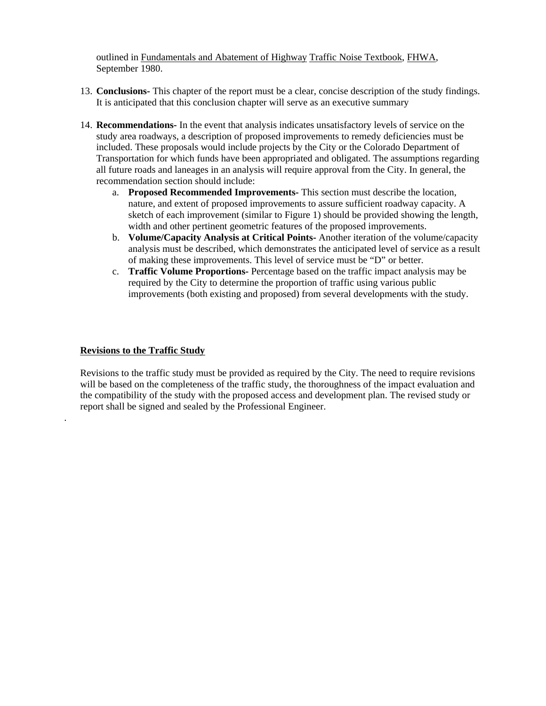outlined in Fundamentals and Abatement of Highway Traffic Noise Textbook, FHWA, September 1980.

- 13. **Conclusions-** This chapter of the report must be a clear, concise description of the study findings. It is anticipated that this conclusion chapter will serve as an executive summary
- 14. **Recommendations-** In the event that analysis indicates unsatisfactory levels of service on the study area roadways, a description of proposed improvements to remedy deficiencies must be included. These proposals would include projects by the City or the Colorado Department of Transportation for which funds have been appropriated and obligated. The assumptions regarding all future roads and laneages in an analysis will require approval from the City. In general, the recommendation section should include:
	- a. **Proposed Recommended Improvements-** This section must describe the location, nature, and extent of proposed improvements to assure sufficient roadway capacity. A sketch of each improvement (similar to Figure 1) should be provided showing the length, width and other pertinent geometric features of the proposed improvements.
	- b. **Volume/Capacity Analysis at Critical Points-** Another iteration of the volume/capacity analysis must be described, which demonstrates the anticipated level of service as a result of making these improvements. This level of service must be "D" or better.
	- c. **Traffic Volume Proportions-** Percentage based on the traffic impact analysis may be required by the City to determine the proportion of traffic using various public improvements (both existing and proposed) from several developments with the study.

#### **Revisions to the Traffic Study**

.

Revisions to the traffic study must be provided as required by the City. The need to require revisions will be based on the completeness of the traffic study, the thoroughness of the impact evaluation and the compatibility of the study with the proposed access and development plan. The revised study or report shall be signed and sealed by the Professional Engineer.